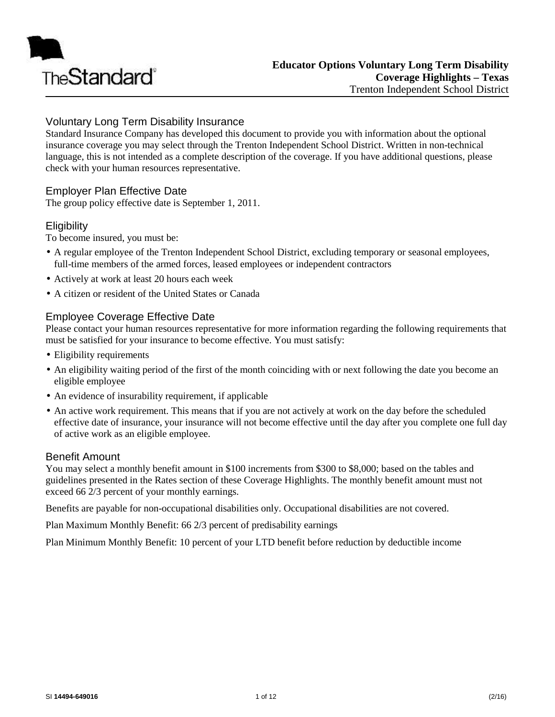

## Voluntary Long Term Disability Insurance

Standard Insurance Company has developed this document to provide you with information about the optional insurance coverage you may select through the Trenton Independent School District. Written in non-technical language, this is not intended as a complete description of the coverage. If you have additional questions, please check with your human resources representative.

## Employer Plan Effective Date

The group policy effective date is September 1, 2011.

## **Eligibility**

To become insured, you must be:

- A regular employee of the Trenton Independent School District, excluding temporary or seasonal employees, full-time members of the armed forces, leased employees or independent contractors
- Actively at work at least 20 hours each week
- A citizen or resident of the United States or Canada

## Employee Coverage Effective Date

Please contact your human resources representative for more information regarding the following requirements that must be satisfied for your insurance to become effective. You must satisfy:

- Eligibility requirements
- An eligibility waiting period of the first of the month coinciding with or next following the date you become an eligible employee
- An evidence of insurability requirement, if applicable
- An active work requirement. This means that if you are not actively at work on the day before the scheduled effective date of insurance, your insurance will not become effective until the day after you complete one full day of active work as an eligible employee.

## Benefit Amount

You may select a monthly benefit amount in \$100 increments from \$300 to \$8,000; based on the tables and guidelines presented in the Rates section of these Coverage Highlights. The monthly benefit amount must not exceed 66 2/3 percent of your monthly earnings.

Benefits are payable for non-occupational disabilities only. Occupational disabilities are not covered.

Plan Maximum Monthly Benefit: 66 2/3 percent of predisability earnings

Plan Minimum Monthly Benefit: 10 percent of your LTD benefit before reduction by deductible income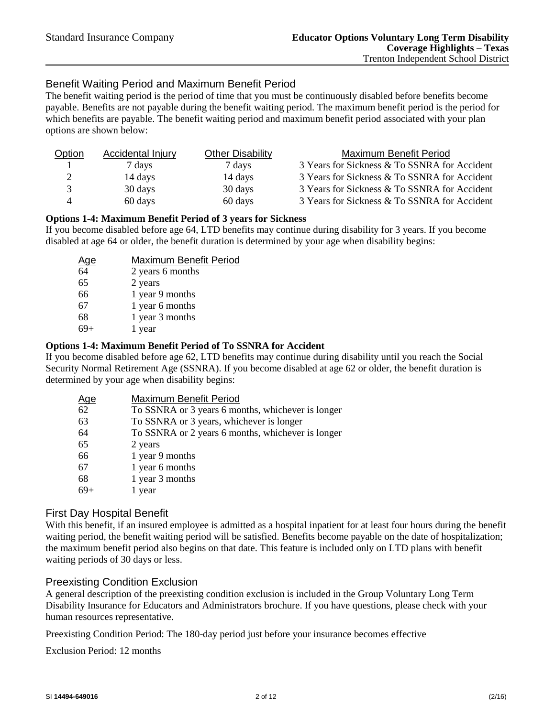## Benefit Waiting Period and Maximum Benefit Period

The benefit waiting period is the period of time that you must be continuously disabled before benefits become payable. Benefits are not payable during the benefit waiting period. The maximum benefit period is the period for which benefits are payable. The benefit waiting period and maximum benefit period associated with your plan options are shown below:

| Option | <b>Accidental Injury</b> | <b>Other Disability</b> | Maximum Benefit Period                       |
|--------|--------------------------|-------------------------|----------------------------------------------|
|        | 7 days                   | 7 days                  | 3 Years for Sickness & To SSNRA for Accident |
| 2      | 14 days                  | 14 days                 | 3 Years for Sickness & To SSNRA for Accident |
| 3      | 30 days                  | 30 days                 | 3 Years for Sickness & To SSNRA for Accident |
| 4      | 60 days                  | 60 days                 | 3 Years for Sickness & To SSNRA for Accident |

#### **Options 1-4: Maximum Benefit Period of 3 years for Sickness**

If you become disabled before age 64, LTD benefits may continue during disability for 3 years. If you become disabled at age 64 or older, the benefit duration is determined by your age when disability begins:

| <u>Age</u> | Maximum Benefit Period |
|------------|------------------------|
| 64         | 2 years 6 months       |
| 65         | 2 years                |
| 66         | 1 year 9 months        |
| 67         | 1 year 6 months        |
| 68         | 1 year 3 months        |
|            | 1 year                 |

#### **Options 1-4: Maximum Benefit Period of To SSNRA for Accident**

If you become disabled before age 62, LTD benefits may continue during disability until you reach the Social Security Normal Retirement Age (SSNRA). If you become disabled at age 62 or older, the benefit duration is determined by your age when disability begins:

| <u>Age</u> | Maximum Benefit Period                            |
|------------|---------------------------------------------------|
| 62         | To SSNRA or 3 years 6 months, whichever is longer |
| 63         | To SSNRA or 3 years, whichever is longer          |
| 64         | To SSNRA or 2 years 6 months, whichever is longer |
| 65         | 2 years                                           |
| 66         | 1 year 9 months                                   |
| 67         | 1 year 6 months                                   |
| 68         | 1 year 3 months                                   |
| $69+$      | l year                                            |

## First Day Hospital Benefit

With this benefit, if an insured employee is admitted as a hospital inpatient for at least four hours during the benefit waiting period, the benefit waiting period will be satisfied. Benefits become payable on the date of hospitalization; the maximum benefit period also begins on that date. This feature is included only on LTD plans with benefit waiting periods of 30 days or less.

## Preexisting Condition Exclusion

A general description of the preexisting condition exclusion is included in the Group Voluntary Long Term Disability Insurance for Educators and Administrators brochure. If you have questions, please check with your human resources representative.

Preexisting Condition Period: The 180-day period just before your insurance becomes effective

Exclusion Period: 12 months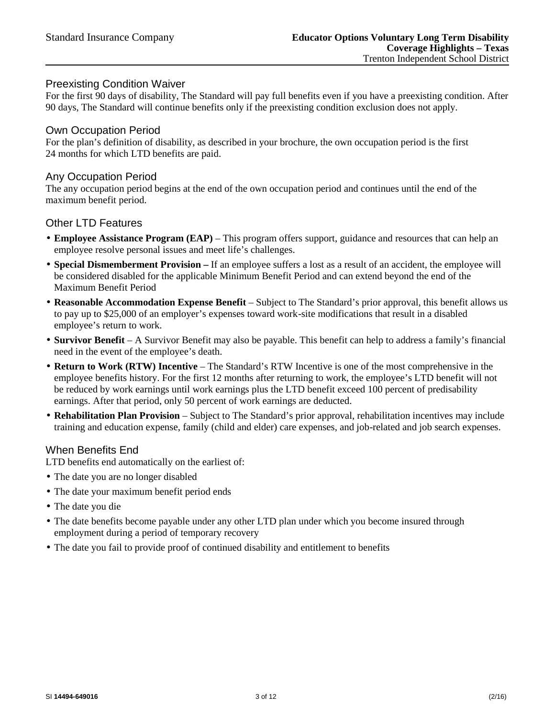## Preexisting Condition Waiver

For the first 90 days of disability, The Standard will pay full benefits even if you have a preexisting condition. After 90 days, The Standard will continue benefits only if the preexisting condition exclusion does not apply.

## Own Occupation Period

For the plan's definition of disability, as described in your brochure, the own occupation period is the first 24 months for which LTD benefits are paid.

#### Any Occupation Period

The any occupation period begins at the end of the own occupation period and continues until the end of the maximum benefit period.

#### Other LTD Features

- **Employee Assistance Program (EAP)** This program offers support, guidance and resources that can help an employee resolve personal issues and meet life's challenges.
- **Special Dismemberment Provision –** If an employee suffers a lost as a result of an accident, the employee will be considered disabled for the applicable Minimum Benefit Period and can extend beyond the end of the Maximum Benefit Period
- **Reasonable Accommodation Expense Benefit** Subject to The Standard's prior approval, this benefit allows us to pay up to \$25,000 of an employer's expenses toward work-site modifications that result in a disabled employee's return to work.
- **Survivor Benefit** A Survivor Benefit may also be payable. This benefit can help to address a family's financial need in the event of the employee's death.
- **Return to Work (RTW) Incentive** The Standard's RTW Incentive is one of the most comprehensive in the employee benefits history. For the first 12 months after returning to work, the employee's LTD benefit will not be reduced by work earnings until work earnings plus the LTD benefit exceed 100 percent of predisability earnings. After that period, only 50 percent of work earnings are deducted.
- **Rehabilitation Plan Provision** Subject to The Standard's prior approval, rehabilitation incentives may include training and education expense, family (child and elder) care expenses, and job-related and job search expenses.

## When Benefits End

LTD benefits end automatically on the earliest of:

- The date you are no longer disabled
- The date your maximum benefit period ends
- The date you die
- The date benefits become payable under any other LTD plan under which you become insured through employment during a period of temporary recovery
- The date you fail to provide proof of continued disability and entitlement to benefits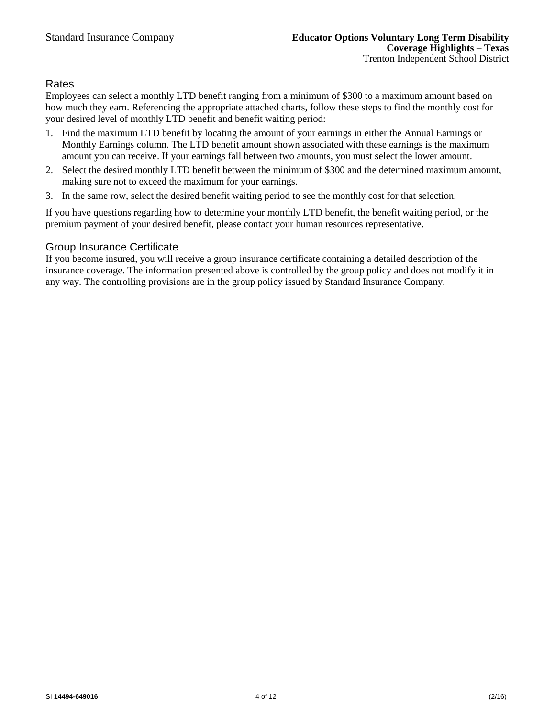## Rates

Employees can select a monthly LTD benefit ranging from a minimum of \$300 to a maximum amount based on how much they earn. Referencing the appropriate attached charts, follow these steps to find the monthly cost for your desired level of monthly LTD benefit and benefit waiting period:

- 1. Find the maximum LTD benefit by locating the amount of your earnings in either the Annual Earnings or Monthly Earnings column. The LTD benefit amount shown associated with these earnings is the maximum amount you can receive. If your earnings fall between two amounts, you must select the lower amount.
- 2. Select the desired monthly LTD benefit between the minimum of \$300 and the determined maximum amount, making sure not to exceed the maximum for your earnings.
- 3. In the same row, select the desired benefit waiting period to see the monthly cost for that selection.

If you have questions regarding how to determine your monthly LTD benefit, the benefit waiting period, or the premium payment of your desired benefit, please contact your human resources representative.

## Group Insurance Certificate

If you become insured, you will receive a group insurance certificate containing a detailed description of the insurance coverage. The information presented above is controlled by the group policy and does not modify it in any way. The controlling provisions are in the group policy issued by Standard Insurance Company.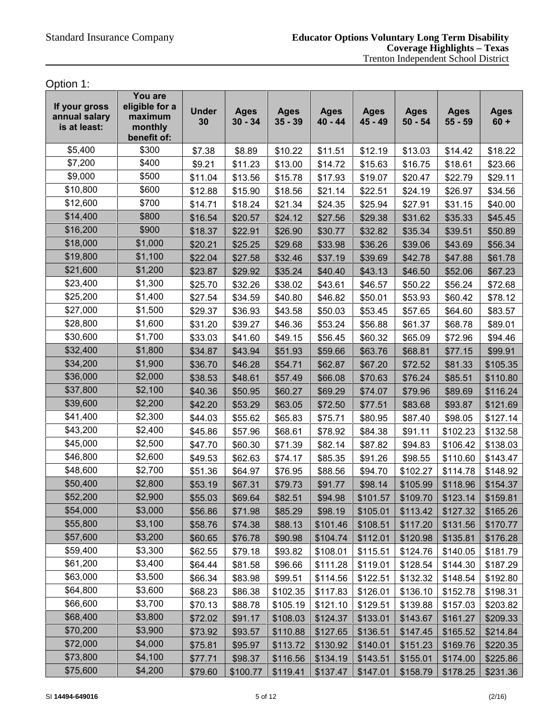Option 1:

| If your gross<br>annual salary<br>is at least: | You are<br>eligible for a<br>maximum<br>monthly<br>benefit of: | <b>Under</b><br>30 | <b>Ages</b><br>$30 - 34$ | <b>Ages</b><br>$35 - 39$ | <b>Ages</b><br>$40 - 44$ | <b>Ages</b><br>45 - 49 | <b>Ages</b><br>$50 - 54$ | <b>Ages</b><br>$55 - 59$ | <b>Ages</b><br>$60 +$ |
|------------------------------------------------|----------------------------------------------------------------|--------------------|--------------------------|--------------------------|--------------------------|------------------------|--------------------------|--------------------------|-----------------------|
| \$5,400                                        | \$300                                                          | \$7.38             | \$8.89                   | \$10.22                  | \$11.51                  | \$12.19                | \$13.03                  | \$14.42                  | \$18.22               |
| \$7,200                                        | \$400                                                          | \$9.21             | \$11.23                  | \$13.00                  | \$14.72                  | \$15.63                | \$16.75                  | \$18.61                  | \$23.66               |
| \$9,000                                        | \$500                                                          | \$11.04            | \$13.56                  | \$15.78                  | \$17.93                  | \$19.07                | \$20.47                  | \$22.79                  | \$29.11               |
| \$10,800                                       | \$600                                                          | \$12.88            | \$15.90                  | \$18.56                  | \$21.14                  | \$22.51                | \$24.19                  | \$26.97                  | \$34.56               |
| \$12,600                                       | \$700                                                          | \$14.71            | \$18.24                  | \$21.34                  | \$24.35                  | \$25.94                | \$27.91                  | \$31.15                  | \$40.00               |
| \$14,400                                       | \$800                                                          | \$16.54            | \$20.57                  | \$24.12                  | \$27.56                  | \$29.38                | \$31.62                  | \$35.33                  | \$45.45               |
| \$16,200                                       | \$900                                                          | \$18.37            | \$22.91                  | \$26.90                  | \$30.77                  | \$32.82                | \$35.34                  | \$39.51                  | \$50.89               |
| \$18,000                                       | \$1,000                                                        | \$20.21            | \$25.25                  | \$29.68                  | \$33.98                  | \$36.26                | \$39.06                  | \$43.69                  | \$56.34               |
| \$19,800                                       | \$1,100                                                        | \$22.04            | \$27.58                  | \$32.46                  | \$37.19                  | \$39.69                | \$42.78                  | \$47.88                  | \$61.78               |
| \$21,600                                       | \$1,200                                                        | \$23.87            | \$29.92                  | \$35.24                  | \$40.40                  | \$43.13                | \$46.50                  | \$52.06                  | \$67.23               |
| \$23,400                                       | \$1,300                                                        | \$25.70            | \$32.26                  | \$38.02                  | \$43.61                  | \$46.57                | \$50.22                  | \$56.24                  | \$72.68               |
| \$25,200                                       | \$1,400                                                        | \$27.54            | \$34.59                  | \$40.80                  | \$46.82                  | \$50.01                | \$53.93                  | \$60.42                  | \$78.12               |
| \$27,000                                       | \$1,500                                                        | \$29.37            | \$36.93                  | \$43.58                  | \$50.03                  | \$53.45                | \$57.65                  | \$64.60                  | \$83.57               |
| \$28,800                                       | \$1,600                                                        | \$31.20            | \$39.27                  | \$46.36                  | \$53.24                  | \$56.88                | \$61.37                  | \$68.78                  | \$89.01               |
| \$30,600                                       | \$1,700                                                        | \$33.03            | \$41.60                  | \$49.15                  | \$56.45                  | \$60.32                | \$65.09                  | \$72.96                  | \$94.46               |
| \$32,400                                       | \$1,800                                                        | \$34.87            | \$43.94                  | \$51.93                  | \$59.66                  | \$63.76                | \$68.81                  | \$77.15                  | \$99.91               |
| \$34,200                                       | \$1,900                                                        | \$36.70            | \$46.28                  | \$54.71                  | \$62.87                  | \$67.20                | \$72.52                  | \$81.33                  | \$105.35              |
| \$36,000                                       | \$2,000                                                        | \$38.53            | \$48.61                  | \$57.49                  | \$66.08                  | \$70.63                | \$76.24                  | \$85.51                  | \$110.80              |
| \$37,800                                       | \$2,100                                                        | \$40.36            | \$50.95                  | \$60.27                  | \$69.29                  | \$74.07                | \$79.96                  | \$89.69                  | \$116.24              |
| \$39,600                                       | \$2,200                                                        | \$42.20            | \$53.29                  | \$63.05                  | \$72.50                  | \$77.51                | \$83.68                  | \$93.87                  | \$121.69              |
| \$41,400                                       | \$2,300                                                        | \$44.03            | \$55.62                  | \$65.83                  | \$75.71                  | \$80.95                | \$87.40                  | \$98.05                  | \$127.14              |
| \$43,200                                       | \$2,400                                                        | \$45.86            | \$57.96                  | \$68.61                  | \$78.92                  | \$84.38                | \$91.11                  | \$102.23                 | \$132.58              |
| \$45,000                                       | \$2,500                                                        | \$47.70            | \$60.30                  | \$71.39                  | \$82.14                  | \$87.82                | \$94.83                  | \$106.42                 | \$138.03              |
| \$46,800                                       | \$2,600                                                        | \$49.53            | \$62.63                  | \$74.17                  | \$85.35                  | \$91.26                | \$98.55                  | \$110.60                 | \$143.47              |
| \$48,600                                       | \$2,700                                                        | \$51.36            | \$64.97                  | \$76.95                  | \$88.56                  | \$94.70                | \$102.27                 | \$114.78                 | \$148.92              |
| \$50,400                                       | \$2,800                                                        | \$53.19            | \$67.31                  | \$79.73                  | \$91.77                  | \$98.14                | \$105.99                 | \$118.96                 | \$154.37              |
| \$52,200                                       | \$2,900                                                        | \$55.03            | \$69.64                  | \$82.51                  | \$94.98                  | \$101.57               | \$109.70                 | \$123.14                 | \$159.81              |
| \$54,000                                       | \$3,000                                                        | \$56.86            | \$71.98                  | \$85.29                  | \$98.19                  | \$105.01               | \$113.42                 | \$127.32                 | \$165.26              |
| \$55,800                                       | \$3,100                                                        | \$58.76            | \$74.38                  | \$88.13                  | \$101.46                 | \$108.51               | \$117.20                 | \$131.56                 | \$170.77              |
| \$57,600                                       | \$3,200                                                        | \$60.65            | \$76.78                  | \$90.98                  | \$104.74                 | \$112.01               | \$120.98                 | \$135.81                 | \$176.28              |
| \$59,400                                       | \$3,300                                                        | \$62.55            | \$79.18                  | \$93.82                  | \$108.01                 | \$115.51               | \$124.76                 | \$140.05                 | \$181.79              |
| \$61,200                                       | \$3,400                                                        | \$64.44            | \$81.58                  | \$96.66                  | \$111.28                 | \$119.01               | \$128.54                 | \$144.30                 | \$187.29              |
| \$63,000                                       | \$3,500                                                        | \$66.34            | \$83.98                  | \$99.51                  | \$114.56                 | \$122.51               | \$132.32                 | \$148.54                 | \$192.80              |
| \$64,800                                       | \$3,600                                                        | \$68.23            | \$86.38                  | \$102.35                 | \$117.83                 | \$126.01               | \$136.10                 | \$152.78                 | \$198.31              |
| \$66,600                                       | \$3,700                                                        | \$70.13            | \$88.78                  | \$105.19                 | \$121.10                 | \$129.51               | \$139.88                 | \$157.03                 | \$203.82              |
| \$68,400                                       | \$3,800                                                        | \$72.02            | \$91.17                  | \$108.03                 | \$124.37                 | \$133.01               | \$143.67                 | \$161.27                 | \$209.33              |
| \$70,200                                       | \$3,900                                                        | \$73.92            | \$93.57                  | \$110.88                 | \$127.65                 | \$136.51               | \$147.45                 | \$165.52                 | \$214.84              |
| \$72,000                                       | \$4,000                                                        | \$75.81            | \$95.97                  | \$113.72                 | \$130.92                 | \$140.01               | \$151.23                 | \$169.76                 | \$220.35              |
| \$73,800                                       | \$4,100                                                        | \$77.71            | \$98.37                  | \$116.56                 | \$134.19                 | \$143.51               | \$155.01                 | \$174.00                 | \$225.86              |
| \$75,600                                       | \$4,200                                                        | \$79.60            | \$100.77                 | \$119.41                 | \$137.47                 | \$147.01               | \$158.79                 | \$178.25                 | \$231.36              |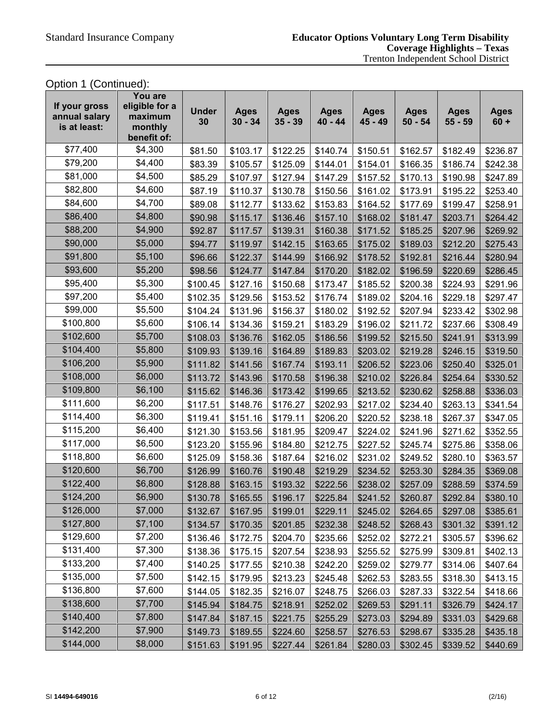Option 1 (Continued):

| If your gross<br>annual salary<br>is at least: | You are<br>eligible for a<br>maximum<br>monthly<br>benefit of: | <b>Under</b><br>30 | <b>Ages</b><br>$30 - 34$ | <b>Ages</b><br>$35 - 39$ | <b>Ages</b><br>$40 - 44$ | <b>Ages</b><br>45 - 49 | <b>Ages</b><br>$50 - 54$ | <b>Ages</b><br>$55 - 59$ | <b>Ages</b><br>$60 +$ |
|------------------------------------------------|----------------------------------------------------------------|--------------------|--------------------------|--------------------------|--------------------------|------------------------|--------------------------|--------------------------|-----------------------|
| \$77,400                                       | \$4,300                                                        | \$81.50            | \$103.17                 | \$122.25                 | \$140.74                 | \$150.51               | \$162.57                 | \$182.49                 | \$236.87              |
| \$79,200                                       | \$4,400                                                        | \$83.39            | \$105.57                 | \$125.09                 | \$144.01                 | \$154.01               | \$166.35                 | \$186.74                 | \$242.38              |
| \$81,000                                       | \$4,500                                                        | \$85.29            | \$107.97                 | \$127.94                 | \$147.29                 | \$157.52               | \$170.13                 | \$190.98                 | \$247.89              |
| \$82,800                                       | \$4,600                                                        | \$87.19            | \$110.37                 | \$130.78                 | \$150.56                 | \$161.02               | \$173.91                 | \$195.22                 | \$253.40              |
| \$84,600                                       | \$4,700                                                        | \$89.08            | \$112.77                 | \$133.62                 | \$153.83                 | \$164.52               | \$177.69                 | \$199.47                 | \$258.91              |
| \$86,400                                       | \$4,800                                                        | \$90.98            | \$115.17                 | \$136.46                 | \$157.10                 | \$168.02               | \$181.47                 | \$203.71                 | \$264.42              |
| \$88,200                                       | \$4,900                                                        | \$92.87            | \$117.57                 | \$139.31                 | \$160.38                 | \$171.52               | \$185.25                 | \$207.96                 | \$269.92              |
| \$90,000                                       | \$5,000                                                        | \$94.77            | \$119.97                 | \$142.15                 | \$163.65                 | \$175.02               | \$189.03                 | \$212.20                 | \$275.43              |
| \$91,800                                       | \$5,100                                                        | \$96.66            | \$122.37                 | \$144.99                 | \$166.92                 | \$178.52               | \$192.81                 | \$216.44                 | \$280.94              |
| \$93,600                                       | \$5,200                                                        | \$98.56            | \$124.77                 | \$147.84                 | \$170.20                 | \$182.02               | \$196.59                 | \$220.69                 | \$286.45              |
| \$95,400                                       | \$5,300                                                        | \$100.45           | \$127.16                 | \$150.68                 | \$173.47                 | \$185.52               | \$200.38                 | \$224.93                 | \$291.96              |
| \$97,200                                       | \$5,400                                                        | \$102.35           | \$129.56                 | \$153.52                 | \$176.74                 | \$189.02               | \$204.16                 | \$229.18                 | \$297.47              |
| \$99,000                                       | \$5,500                                                        | \$104.24           | \$131.96                 | \$156.37                 | \$180.02                 | \$192.52               | \$207.94                 | \$233.42                 | \$302.98              |
| \$100,800                                      | \$5,600                                                        | \$106.14           | \$134.36                 | \$159.21                 | \$183.29                 | \$196.02               | \$211.72                 | \$237.66                 | \$308.49              |
| \$102,600                                      | \$5,700                                                        | \$108.03           | \$136.76                 | \$162.05                 | \$186.56                 | \$199.52               | \$215.50                 | \$241.91                 | \$313.99              |
| \$104,400                                      | \$5,800                                                        | \$109.93           | \$139.16                 | \$164.89                 | \$189.83                 | \$203.02               | \$219.28                 | \$246.15                 | \$319.50              |
| \$106,200                                      | \$5,900                                                        | \$111.82           | \$141.56                 | \$167.74                 | \$193.11                 | \$206.52               | \$223.06                 | \$250.40                 | \$325.01              |
| \$108,000                                      | \$6,000                                                        | \$113.72           | \$143.96                 | \$170.58                 | \$196.38                 | \$210.02               | \$226.84                 | \$254.64                 | \$330.52              |
| \$109,800                                      | \$6,100                                                        | \$115.62           | \$146.36                 | \$173.42                 | \$199.65                 | \$213.52               | \$230.62                 | \$258.88                 | \$336.03              |
| \$111,600                                      | \$6,200                                                        | \$117.51           | \$148.76                 | \$176.27                 | \$202.93                 | \$217.02               | \$234.40                 | \$263.13                 | \$341.54              |
| \$114,400                                      | \$6,300                                                        | \$119.41           | \$151.16                 | \$179.11                 | \$206.20                 | \$220.52               | \$238.18                 | \$267.37                 | \$347.05              |
| \$115,200                                      | \$6,400                                                        | \$121.30           | \$153.56                 | \$181.95                 | \$209.47                 | \$224.02               | \$241.96                 | \$271.62                 | \$352.55              |
| \$117,000                                      | \$6,500                                                        | \$123.20           | \$155.96                 | \$184.80                 | \$212.75                 | \$227.52               | \$245.74                 | \$275.86                 | \$358.06              |
| \$118,800                                      | \$6,600                                                        | \$125.09           | \$158.36                 | \$187.64                 | \$216.02                 | \$231.02               | \$249.52                 | \$280.10                 | \$363.57              |
| \$120,600                                      | \$6,700                                                        | \$126.99           | \$160.76                 | \$190.48                 | \$219.29                 | \$234.52               | \$253.30                 | \$284.35                 | \$369.08              |
| \$122,400                                      | \$6,800                                                        | \$128.88           | \$163.15                 | \$193.32                 | \$222.56                 | \$238.02               | \$257.09                 | \$288.59                 | \$374.59              |
| \$124,200                                      | \$6,900                                                        | \$130.78           | \$165.55                 | \$196.17                 | \$225.84                 | \$241.52               | \$260.87                 | \$292.84                 | \$380.10              |
| \$126,000                                      | \$7,000                                                        | \$132.67           | \$167.95                 | \$199.01                 | \$229.11                 | \$245.02               | \$264.65                 | \$297.08                 | \$385.61              |
| \$127,800                                      | \$7,100                                                        | \$134.57           | \$170.35                 | \$201.85                 | \$232.38                 | \$248.52               | \$268.43                 | \$301.32                 | \$391.12              |
| \$129,600                                      | \$7,200                                                        | \$136.46           | \$172.75                 | \$204.70                 | \$235.66                 | \$252.02               | \$272.21                 | \$305.57                 | \$396.62              |
| \$131,400                                      | \$7,300                                                        | \$138.36           | \$175.15                 | \$207.54                 | \$238.93                 | \$255.52               | \$275.99                 | \$309.81                 | \$402.13              |
| \$133,200                                      | \$7,400                                                        | \$140.25           | \$177.55                 | \$210.38                 | \$242.20                 | \$259.02               | \$279.77                 | \$314.06                 | \$407.64              |
| \$135,000                                      | \$7,500                                                        | \$142.15           | \$179.95                 | \$213.23                 | \$245.48                 | \$262.53               | \$283.55                 | \$318.30                 | \$413.15              |
| \$136,800                                      | \$7,600                                                        | \$144.05           | \$182.35                 | \$216.07                 | \$248.75                 | \$266.03               | \$287.33                 | \$322.54                 | \$418.66              |
| \$138,600                                      | \$7,700                                                        | \$145.94           | \$184.75                 | \$218.91                 | \$252.02                 | \$269.53               | \$291.11                 | \$326.79                 | \$424.17              |
| \$140,400                                      | \$7,800                                                        | \$147.84           | \$187.15                 | \$221.75                 | \$255.29                 | \$273.03               | \$294.89                 | \$331.03                 | \$429.68              |
| \$142,200                                      | \$7,900                                                        | \$149.73           | \$189.55                 | \$224.60                 | \$258.57                 | \$276.53               | \$298.67                 | \$335.28                 | \$435.18              |
| \$144,000                                      | \$8,000                                                        | \$151.63           | \$191.95                 | \$227.44                 | \$261.84                 | \$280.03               | \$302.45                 | \$339.52                 | \$440.69              |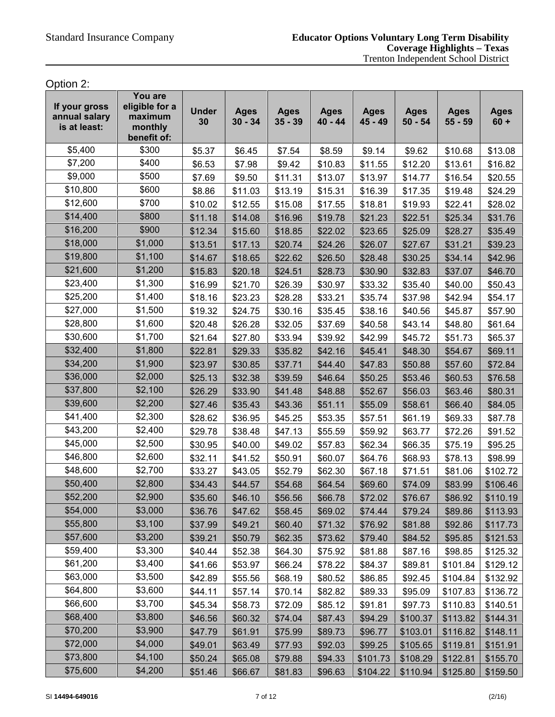Option 2:

| If your gross<br>annual salary<br>is at least: | You are<br>eligible for a<br>maximum<br>monthly<br>benefit of: | <b>Under</b><br>30 | <b>Ages</b><br>$30 - 34$ | <b>Ages</b><br>$35 - 39$ | <b>Ages</b><br>$40 - 44$ | <b>Ages</b><br>$45 - 49$ | <b>Ages</b><br>$50 - 54$ | <b>Ages</b><br>$55 - 59$ | <b>Ages</b><br>$60 +$ |
|------------------------------------------------|----------------------------------------------------------------|--------------------|--------------------------|--------------------------|--------------------------|--------------------------|--------------------------|--------------------------|-----------------------|
| \$5,400                                        | \$300                                                          | \$5.37             | \$6.45                   | \$7.54                   | \$8.59                   | \$9.14                   | \$9.62                   | \$10.68                  | \$13.08               |
| \$7,200                                        | \$400                                                          | \$6.53             | \$7.98                   | \$9.42                   | \$10.83                  | \$11.55                  | \$12.20                  | \$13.61                  | \$16.82               |
| \$9,000                                        | \$500                                                          | \$7.69             | \$9.50                   | \$11.31                  | \$13.07                  | \$13.97                  | \$14.77                  | \$16.54                  | \$20.55               |
| \$10,800                                       | \$600                                                          | \$8.86             | \$11.03                  | \$13.19                  | \$15.31                  | \$16.39                  | \$17.35                  | \$19.48                  | \$24.29               |
| \$12,600                                       | \$700                                                          | \$10.02            | \$12.55                  | \$15.08                  | \$17.55                  | \$18.81                  | \$19.93                  | \$22.41                  | \$28.02               |
| \$14,400                                       | \$800                                                          | \$11.18            | \$14.08                  | \$16.96                  | \$19.78                  | \$21.23                  | \$22.51                  | \$25.34                  | \$31.76               |
| \$16,200                                       | \$900                                                          | \$12.34            | \$15.60                  | \$18.85                  | \$22.02                  | \$23.65                  | \$25.09                  | \$28.27                  | \$35.49               |
| \$18,000                                       | \$1,000                                                        | \$13.51            | \$17.13                  | \$20.74                  | \$24.26                  | \$26.07                  | \$27.67                  | \$31.21                  | \$39.23               |
| \$19,800                                       | \$1,100                                                        | \$14.67            | \$18.65                  | \$22.62                  | \$26.50                  | \$28.48                  | \$30.25                  | \$34.14                  | \$42.96               |
| \$21,600                                       | \$1,200                                                        | \$15.83            | \$20.18                  | \$24.51                  | \$28.73                  | \$30.90                  | \$32.83                  | \$37.07                  | \$46.70               |
| \$23,400                                       | \$1,300                                                        | \$16.99            | \$21.70                  | \$26.39                  | \$30.97                  | \$33.32                  | \$35.40                  | \$40.00                  | \$50.43               |
| \$25,200                                       | \$1,400                                                        | \$18.16            | \$23.23                  | \$28.28                  | \$33.21                  | \$35.74                  | \$37.98                  | \$42.94                  | \$54.17               |
| \$27,000                                       | \$1,500                                                        | \$19.32            | \$24.75                  | \$30.16                  | \$35.45                  | \$38.16                  | \$40.56                  | \$45.87                  | \$57.90               |
| \$28,800                                       | \$1,600                                                        | \$20.48            | \$26.28                  | \$32.05                  | \$37.69                  | \$40.58                  | \$43.14                  | \$48.80                  | \$61.64               |
| \$30,600                                       | \$1,700                                                        | \$21.64            | \$27.80                  | \$33.94                  | \$39.92                  | \$42.99                  | \$45.72                  | \$51.73                  | \$65.37               |
| \$32,400                                       | \$1,800                                                        | \$22.81            | \$29.33                  | \$35.82                  | \$42.16                  | \$45.41                  | \$48.30                  | \$54.67                  | \$69.11               |
| \$34,200                                       | \$1,900                                                        | \$23.97            | \$30.85                  | \$37.71                  | \$44.40                  | \$47.83                  | \$50.88                  | \$57.60                  | \$72.84               |
| \$36,000                                       | \$2,000                                                        | \$25.13            | \$32.38                  | \$39.59                  | \$46.64                  | \$50.25                  | \$53.46                  | \$60.53                  | \$76.58               |
| \$37,800                                       | \$2,100                                                        | \$26.29            | \$33.90                  | \$41.48                  | \$48.88                  | \$52.67                  | \$56.03                  | \$63.46                  | \$80.31               |
| \$39,600                                       | \$2,200                                                        | \$27.46            | \$35.43                  | \$43.36                  | \$51.11                  | \$55.09                  | \$58.61                  | \$66.40                  | \$84.05               |
| \$41,400                                       | \$2,300                                                        | \$28.62            | \$36.95                  | \$45.25                  | \$53.35                  | \$57.51                  | \$61.19                  | \$69.33                  | \$87.78               |
| \$43,200                                       | \$2,400                                                        | \$29.78            | \$38.48                  | \$47.13                  | \$55.59                  | \$59.92                  | \$63.77                  | \$72.26                  | \$91.52               |
| \$45,000                                       | \$2,500                                                        | \$30.95            | \$40.00                  | \$49.02                  | \$57.83                  | \$62.34                  | \$66.35                  | \$75.19                  | \$95.25               |
| \$46,800                                       | \$2,600                                                        | \$32.11            | \$41.52                  | \$50.91                  | \$60.07                  | \$64.76                  | \$68.93                  | \$78.13                  | \$98.99               |
| \$48,600                                       | \$2,700                                                        | \$33.27            | \$43.05                  | \$52.79                  | \$62.30                  | \$67.18                  | \$71.51                  | \$81.06                  | \$102.72              |
| \$50,400                                       | \$2,800                                                        | \$34.43            | \$44.57                  | \$54.68                  | \$64.54                  | \$69.60                  | \$74.09                  | \$83.99                  | \$106.46              |
| \$52,200                                       | \$2,900                                                        | \$35.60            | \$46.10                  | \$56.56                  | \$66.78                  | \$72.02                  | \$76.67                  | \$86.92                  | \$110.19              |
| \$54,000                                       | \$3,000                                                        | \$36.76            | \$47.62                  | \$58.45                  | \$69.02                  | \$74.44                  | \$79.24                  | \$89.86                  | \$113.93              |
| \$55,800                                       | \$3,100                                                        | \$37.99            | \$49.21                  | \$60.40                  | \$71.32                  | \$76.92                  | \$81.88                  | \$92.86                  | \$117.73              |
| \$57,600                                       | \$3,200                                                        | \$39.21            | \$50.79                  | \$62.35                  | \$73.62                  | \$79.40                  | \$84.52                  | \$95.85                  | \$121.53              |
| \$59,400                                       | \$3,300                                                        | \$40.44            | \$52.38                  | \$64.30                  | \$75.92                  | \$81.88                  | \$87.16                  | \$98.85                  | \$125.32              |
| \$61,200                                       | \$3,400                                                        | \$41.66            | \$53.97                  | \$66.24                  | \$78.22                  | \$84.37                  | \$89.81                  | \$101.84                 | \$129.12              |
| \$63,000                                       | \$3,500                                                        | \$42.89            | \$55.56                  | \$68.19                  | \$80.52                  | \$86.85                  | \$92.45                  | \$104.84                 | \$132.92              |
| \$64,800                                       | \$3,600                                                        | \$44.11            | \$57.14                  | \$70.14                  | \$82.82                  | \$89.33                  | \$95.09                  | \$107.83                 | \$136.72              |
| \$66,600                                       | \$3,700                                                        | \$45.34            | \$58.73                  | \$72.09                  | \$85.12                  | \$91.81                  | \$97.73                  | \$110.83                 | \$140.51              |
| \$68,400                                       | \$3,800                                                        | \$46.56            | \$60.32                  | \$74.04                  | \$87.43                  | \$94.29                  | \$100.37                 | \$113.82                 | \$144.31              |
| \$70,200                                       | \$3,900                                                        | \$47.79            | \$61.91                  | \$75.99                  | \$89.73                  | \$96.77                  | \$103.01                 | \$116.82                 | \$148.11              |
| \$72,000                                       | \$4,000                                                        | \$49.01            | \$63.49                  | \$77.93                  | \$92.03                  | \$99.25                  | \$105.65                 | \$119.81                 | \$151.91              |
| \$73,800                                       | \$4,100                                                        | \$50.24            | \$65.08                  | \$79.88                  | \$94.33                  | \$101.73                 | \$108.29                 | \$122.81                 | \$155.70              |
| \$75,600                                       | \$4,200                                                        | \$51.46            | \$66.67                  | \$81.83                  | \$96.63                  | \$104.22                 | \$110.94                 | \$125.80                 | \$159.50              |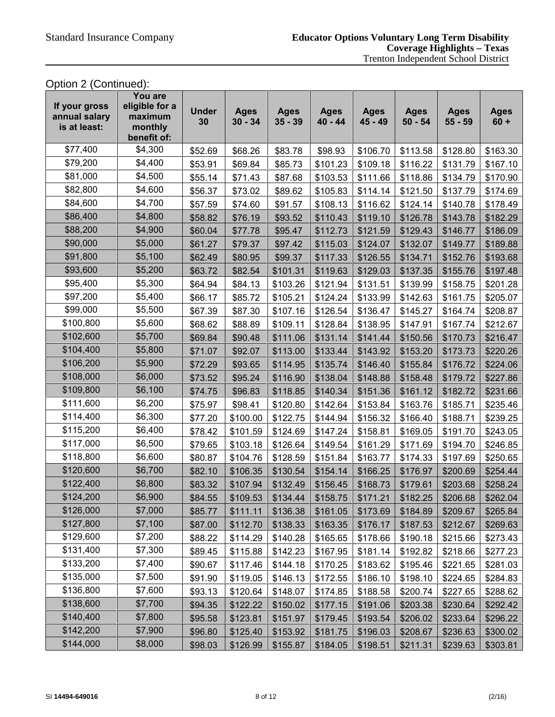## Option 2 (Continued):

| If your gross<br>annual salary<br>is at least: | You are<br>eligible for a<br>maximum<br>monthly<br>benefit of: | <b>Under</b><br>30 | <b>Ages</b><br>$30 - 34$ | <b>Ages</b><br>$35 - 39$ | <b>Ages</b><br>$40 - 44$ | <b>Ages</b><br>45 - 49 | <b>Ages</b><br>$50 - 54$ | <b>Ages</b><br>$55 - 59$ | <b>Ages</b><br>$60 +$ |
|------------------------------------------------|----------------------------------------------------------------|--------------------|--------------------------|--------------------------|--------------------------|------------------------|--------------------------|--------------------------|-----------------------|
| \$77,400                                       | \$4,300                                                        | \$52.69            | \$68.26                  | \$83.78                  | \$98.93                  | \$106.70               | \$113.58                 | \$128.80                 | \$163.30              |
| \$79,200                                       | \$4,400                                                        | \$53.91            | \$69.84                  | \$85.73                  | \$101.23                 | \$109.18               | \$116.22                 | \$131.79                 | \$167.10              |
| \$81,000                                       | \$4,500                                                        | \$55.14            | \$71.43                  | \$87.68                  | \$103.53                 | \$111.66               | \$118.86                 | \$134.79                 | \$170.90              |
| \$82,800                                       | \$4,600                                                        | \$56.37            | \$73.02                  | \$89.62                  | \$105.83                 | \$114.14               | \$121.50                 | \$137.79                 | \$174.69              |
| \$84,600                                       | \$4,700                                                        | \$57.59            | \$74.60                  | \$91.57                  | \$108.13                 | \$116.62               | \$124.14                 | \$140.78                 | \$178.49              |
| \$86,400                                       | \$4,800                                                        | \$58.82            | \$76.19                  | \$93.52                  | \$110.43                 | \$119.10               | \$126.78                 | \$143.78                 | \$182.29              |
| \$88,200                                       | \$4,900                                                        | \$60.04            | \$77.78                  | \$95.47                  | \$112.73                 | \$121.59               | \$129.43                 | \$146.77                 | \$186.09              |
| \$90,000                                       | \$5,000                                                        | \$61.27            | \$79.37                  | \$97.42                  | \$115.03                 | \$124.07               | \$132.07                 | \$149.77                 | \$189.88              |
| \$91,800                                       | \$5,100                                                        | \$62.49            | \$80.95                  | \$99.37                  | \$117.33                 | \$126.55               | \$134.71                 | \$152.76                 | \$193.68              |
| \$93,600                                       | \$5,200                                                        | \$63.72            | \$82.54                  | \$101.31                 | \$119.63                 | \$129.03               | \$137.35                 | \$155.76                 | \$197.48              |
| \$95,400                                       | \$5,300                                                        | \$64.94            | \$84.13                  | \$103.26                 | \$121.94                 | \$131.51               | \$139.99                 | \$158.75                 | \$201.28              |
| \$97,200                                       | \$5,400                                                        | \$66.17            | \$85.72                  | \$105.21                 | \$124.24                 | \$133.99               | \$142.63                 | \$161.75                 | \$205.07              |
| \$99,000                                       | \$5,500                                                        | \$67.39            | \$87.30                  | \$107.16                 | \$126.54                 | \$136.47               | \$145.27                 | \$164.74                 | \$208.87              |
| \$100,800                                      | \$5,600                                                        | \$68.62            | \$88.89                  | \$109.11                 | \$128.84                 | \$138.95               | \$147.91                 | \$167.74                 | \$212.67              |
| \$102,600                                      | \$5,700                                                        | \$69.84            | \$90.48                  | \$111.06                 | \$131.14                 | \$141.44               | \$150.56                 | \$170.73                 | \$216.47              |
| \$104,400                                      | \$5,800                                                        | \$71.07            | \$92.07                  | \$113.00                 | \$133.44                 | \$143.92               | \$153.20                 | \$173.73                 | \$220.26              |
| \$106,200                                      | \$5,900                                                        | \$72.29            | \$93.65                  | \$114.95                 | \$135.74                 | \$146.40               | \$155.84                 | \$176.72                 | \$224.06              |
| \$108,000                                      | \$6,000                                                        | \$73.52            | \$95.24                  | \$116.90                 | \$138.04                 | \$148.88               | \$158.48                 | \$179.72                 | \$227.86              |
| \$109,800                                      | \$6,100                                                        | \$74.75            | \$96.83                  | \$118.85                 | \$140.34                 | \$151.36               | \$161.12                 | \$182.72                 | \$231.66              |
| \$111,600                                      | \$6,200                                                        | \$75.97            | \$98.41                  | \$120.80                 | \$142.64                 | \$153.84               | \$163.76                 | \$185.71                 | \$235.46              |
| \$114,400                                      | \$6,300                                                        | \$77.20            | \$100.00                 | \$122.75                 | \$144.94                 | \$156.32               | \$166.40                 | \$188.71                 | \$239.25              |
| \$115,200                                      | \$6,400                                                        | \$78.42            | \$101.59                 | \$124.69                 | \$147.24                 | \$158.81               | \$169.05                 | \$191.70                 | \$243.05              |
| \$117,000                                      | \$6,500                                                        | \$79.65            | \$103.18                 | \$126.64                 | \$149.54                 | \$161.29               | \$171.69                 | \$194.70                 | \$246.85              |
| \$118,800                                      | \$6,600                                                        | \$80.87            | \$104.76                 | \$128.59                 | \$151.84                 | \$163.77               | \$174.33                 | \$197.69                 | \$250.65              |
| \$120,600                                      | \$6,700                                                        | \$82.10            | \$106.35                 | \$130.54                 | \$154.14                 | \$166.25               | \$176.97                 | \$200.69                 | \$254.44              |
| \$122,400                                      | \$6,800                                                        | \$83.32            | \$107.94                 | \$132.49                 | \$156.45                 | \$168.73               | \$179.61                 | \$203.68                 | \$258.24              |
| \$124,200                                      | \$6,900                                                        | \$84.55            | \$109.53                 | \$134.44                 | \$158.75                 | \$171.21               | \$182.25                 | \$206.68                 | \$262.04              |
| \$126,000                                      | \$7,000                                                        | \$85.77            | \$111.11                 | \$136.38                 | \$161.05                 | \$173.69               | \$184.89                 | \$209.67                 | \$265.84              |
| \$127,800                                      | \$7,100                                                        | \$87.00            | \$112.70                 | \$138.33                 | \$163.35                 | \$176.17               | \$187.53                 | \$212.67                 | \$269.63              |
| \$129,600                                      | \$7,200                                                        | \$88.22            | \$114.29                 | \$140.28                 | \$165.65                 | \$178.66               | \$190.18                 | \$215.66                 | \$273.43              |
| \$131,400                                      | \$7,300                                                        | \$89.45            | \$115.88                 | \$142.23                 | \$167.95                 | \$181.14               | \$192.82                 | \$218.66                 | \$277.23              |
| \$133,200                                      | \$7,400                                                        | \$90.67            | \$117.46                 | \$144.18                 | \$170.25                 | \$183.62               | \$195.46                 | \$221.65                 | \$281.03              |
| \$135,000                                      | \$7,500                                                        | \$91.90            | \$119.05                 | \$146.13                 | \$172.55                 | \$186.10               | \$198.10                 | \$224.65                 | \$284.83              |
| \$136,800                                      | \$7,600                                                        | \$93.13            | \$120.64                 | \$148.07                 | \$174.85                 | \$188.58               | \$200.74                 | \$227.65                 | \$288.62              |
| \$138,600                                      | \$7,700                                                        | \$94.35            | \$122.22                 | \$150.02                 | \$177.15                 | \$191.06               | \$203.38                 | \$230.64                 | \$292.42              |
| \$140,400                                      | \$7,800                                                        | \$95.58            | \$123.81                 | \$151.97                 | \$179.45                 | \$193.54               | \$206.02                 | \$233.64                 | \$296.22              |
| \$142,200                                      | \$7,900                                                        | \$96.80            | \$125.40                 | \$153.92                 | \$181.75                 | \$196.03               | \$208.67                 | \$236.63                 | \$300.02              |
| \$144,000                                      | \$8,000                                                        | \$98.03            | \$126.99                 | \$155.87                 | \$184.05                 | \$198.51               | \$211.31                 | \$239.63                 | \$303.81              |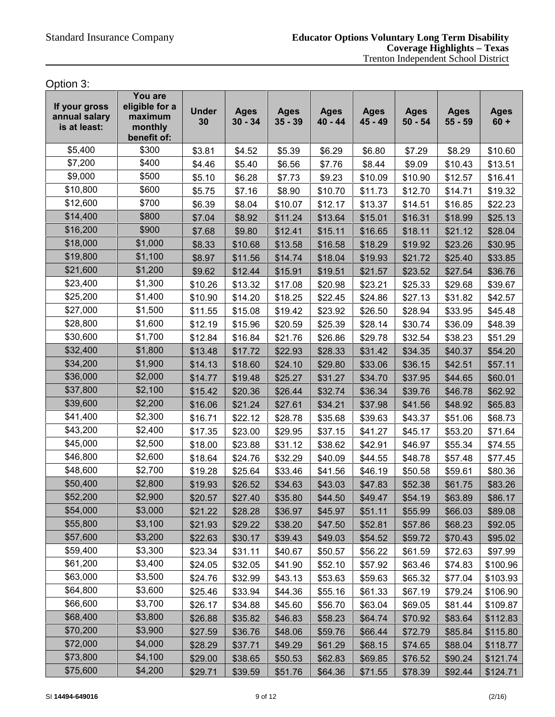Option 3:

| If your gross<br>annual salary<br>is at least: | You are<br>eligible for a<br>maximum<br>monthly<br>benefit of: | <b>Under</b><br>30 | <b>Ages</b><br>$30 - 34$ | <b>Ages</b><br>$35 - 39$ | <b>Ages</b><br>$40 - 44$ | <b>Ages</b><br>45 - 49 | <b>Ages</b><br>$50 - 54$ | <b>Ages</b><br>$55 - 59$ | <b>Ages</b><br>$60 +$ |
|------------------------------------------------|----------------------------------------------------------------|--------------------|--------------------------|--------------------------|--------------------------|------------------------|--------------------------|--------------------------|-----------------------|
| \$5,400                                        | \$300                                                          | \$3.81             | \$4.52                   | \$5.39                   | \$6.29                   | \$6.80                 | \$7.29                   | \$8.29                   | \$10.60               |
| \$7,200                                        | \$400                                                          | \$4.46             | \$5.40                   | \$6.56                   | \$7.76                   | \$8.44                 | \$9.09                   | \$10.43                  | \$13.51               |
| \$9,000                                        | \$500                                                          | \$5.10             | \$6.28                   | \$7.73                   | \$9.23                   | \$10.09                | \$10.90                  | \$12.57                  | \$16.41               |
| \$10,800                                       | \$600                                                          | \$5.75             | \$7.16                   | \$8.90                   | \$10.70                  | \$11.73                | \$12.70                  | \$14.71                  | \$19.32               |
| \$12,600                                       | \$700                                                          | \$6.39             | \$8.04                   | \$10.07                  | \$12.17                  | \$13.37                | \$14.51                  | \$16.85                  | \$22.23               |
| \$14,400                                       | \$800                                                          | \$7.04             | \$8.92                   | \$11.24                  | \$13.64                  | \$15.01                | \$16.31                  | \$18.99                  | \$25.13               |
| \$16,200                                       | \$900                                                          | \$7.68             | \$9.80                   | \$12.41                  | \$15.11                  | \$16.65                | \$18.11                  | \$21.12                  | \$28.04               |
| \$18,000                                       | \$1,000                                                        | \$8.33             | \$10.68                  | \$13.58                  | \$16.58                  | \$18.29                | \$19.92                  | \$23.26                  | \$30.95               |
| \$19,800                                       | \$1,100                                                        | \$8.97             | \$11.56                  | \$14.74                  | \$18.04                  | \$19.93                | \$21.72                  | \$25.40                  | \$33.85               |
| \$21,600                                       | \$1,200                                                        | \$9.62             | \$12.44                  | \$15.91                  | \$19.51                  | \$21.57                | \$23.52                  | \$27.54                  | \$36.76               |
| \$23,400                                       | \$1,300                                                        | \$10.26            | \$13.32                  | \$17.08                  | \$20.98                  | \$23.21                | \$25.33                  | \$29.68                  | \$39.67               |
| \$25,200                                       | \$1,400                                                        | \$10.90            | \$14.20                  | \$18.25                  | \$22.45                  | \$24.86                | \$27.13                  | \$31.82                  | \$42.57               |
| \$27,000                                       | \$1,500                                                        | \$11.55            | \$15.08                  | \$19.42                  | \$23.92                  | \$26.50                | \$28.94                  | \$33.95                  | \$45.48               |
| \$28,800                                       | \$1,600                                                        | \$12.19            | \$15.96                  | \$20.59                  | \$25.39                  | \$28.14                | \$30.74                  | \$36.09                  | \$48.39               |
| \$30,600                                       | \$1,700                                                        | \$12.84            | \$16.84                  | \$21.76                  | \$26.86                  | \$29.78                | \$32.54                  | \$38.23                  | \$51.29               |
| \$32,400                                       | \$1,800                                                        | \$13.48            | \$17.72                  | \$22.93                  | \$28.33                  | \$31.42                | \$34.35                  | \$40.37                  | \$54.20               |
| \$34,200                                       | \$1,900                                                        | \$14.13            | \$18.60                  | \$24.10                  | \$29.80                  | \$33.06                | \$36.15                  | \$42.51                  | \$57.11               |
| \$36,000                                       | \$2,000                                                        | \$14.77            | \$19.48                  | \$25.27                  | \$31.27                  | \$34.70                | \$37.95                  | \$44.65                  | \$60.01               |
| \$37,800                                       | \$2,100                                                        | \$15.42            | \$20.36                  | \$26.44                  | \$32.74                  | \$36.34                | \$39.76                  | \$46.78                  | \$62.92               |
| \$39,600                                       | \$2,200                                                        | \$16.06            | \$21.24                  | \$27.61                  | \$34.21                  | \$37.98                | \$41.56                  | \$48.92                  | \$65.83               |
| \$41,400                                       | \$2,300                                                        | \$16.71            | \$22.12                  | \$28.78                  | \$35.68                  | \$39.63                | \$43.37                  | \$51.06                  | \$68.73               |
| \$43,200                                       | \$2,400                                                        | \$17.35            | \$23.00                  | \$29.95                  | \$37.15                  | \$41.27                | \$45.17                  | \$53.20                  | \$71.64               |
| \$45,000                                       | \$2,500                                                        | \$18.00            | \$23.88                  | \$31.12                  | \$38.62                  | \$42.91                | \$46.97                  | \$55.34                  | \$74.55               |
| \$46,800                                       | \$2,600                                                        | \$18.64            | \$24.76                  | \$32.29                  | \$40.09                  | \$44.55                | \$48.78                  | \$57.48                  | \$77.45               |
| \$48,600                                       | \$2,700                                                        | \$19.28            | \$25.64                  | \$33.46                  | \$41.56                  | \$46.19                | \$50.58                  | \$59.61                  | \$80.36               |
| \$50,400                                       | \$2,800                                                        | \$19.93            | \$26.52                  | \$34.63                  | \$43.03                  | \$47.83                | \$52.38                  | \$61.75                  | \$83.26               |
| \$52,200                                       | \$2,900                                                        | \$20.57            | \$27.40                  | \$35.80                  | \$44.50                  | \$49.47                | \$54.19                  | \$63.89                  | \$86.17               |
| \$54,000                                       | \$3,000                                                        | \$21.22            | \$28.28                  | \$36.97                  | \$45.97                  | \$51.11                | \$55.99                  | \$66.03                  | \$89.08               |
| \$55,800                                       | \$3,100                                                        | \$21.93            | \$29.22                  | \$38.20                  | \$47.50                  | \$52.81                | \$57.86                  | \$68.23                  | \$92.05               |
| \$57,600                                       | \$3,200                                                        | \$22.63            | \$30.17                  | \$39.43                  | \$49.03                  | \$54.52                | \$59.72                  | \$70.43                  | \$95.02               |
| \$59,400                                       | \$3,300                                                        | \$23.34            | \$31.11                  | \$40.67                  | \$50.57                  | \$56.22                | \$61.59                  | \$72.63                  | \$97.99               |
| \$61,200                                       | \$3,400                                                        | \$24.05            | \$32.05                  | \$41.90                  | \$52.10                  | \$57.92                | \$63.46                  | \$74.83                  | \$100.96              |
| \$63,000                                       | \$3,500                                                        | \$24.76            | \$32.99                  | \$43.13                  | \$53.63                  | \$59.63                | \$65.32                  | \$77.04                  | \$103.93              |
| \$64,800                                       | \$3,600                                                        | \$25.46            | \$33.94                  | \$44.36                  | \$55.16                  | \$61.33                | \$67.19                  | \$79.24                  | \$106.90              |
| \$66,600                                       | \$3,700                                                        | \$26.17            | \$34.88                  | \$45.60                  | \$56.70                  | \$63.04                | \$69.05                  | \$81.44                  | \$109.87              |
| \$68,400                                       | \$3,800                                                        | \$26.88            | \$35.82                  | \$46.83                  | \$58.23                  | \$64.74                | \$70.92                  | \$83.64                  | \$112.83              |
| \$70,200                                       | \$3,900                                                        | \$27.59            | \$36.76                  | \$48.06                  | \$59.76                  | \$66.44                | \$72.79                  | \$85.84                  | \$115.80              |
| \$72,000                                       | \$4,000                                                        | \$28.29            | \$37.71                  | \$49.29                  | \$61.29                  | \$68.15                | \$74.65                  | \$88.04                  | \$118.77              |
| \$73,800                                       | \$4,100                                                        | \$29.00            | \$38.65                  | \$50.53                  | \$62.83                  | \$69.85                | \$76.52                  | \$90.24                  | \$121.74              |
| \$75,600                                       | \$4,200                                                        | \$29.71            | \$39.59                  | \$51.76                  | \$64.36                  | \$71.55                | \$78.39                  | \$92.44                  | \$124.71              |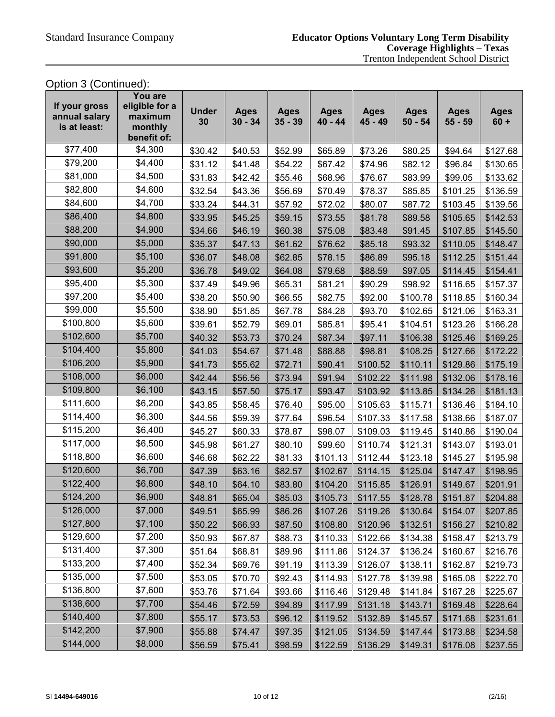# Option 3 (Continued):

| If your gross<br>annual salary<br>is at least: | You are<br>eligible for a<br>maximum<br>monthly<br>benefit of: | <b>Under</b><br>30 | <b>Ages</b><br>$30 - 34$ | <b>Ages</b><br>$35 - 39$ | <b>Ages</b><br>$40 - 44$ | <b>Ages</b><br>45 - 49 | <b>Ages</b><br>$50 - 54$ | <b>Ages</b><br>$55 - 59$ | <b>Ages</b><br>$60 +$ |
|------------------------------------------------|----------------------------------------------------------------|--------------------|--------------------------|--------------------------|--------------------------|------------------------|--------------------------|--------------------------|-----------------------|
| \$77,400                                       | \$4,300                                                        | \$30.42            | \$40.53                  | \$52.99                  | \$65.89                  | \$73.26                | \$80.25                  | \$94.64                  | \$127.68              |
| \$79,200                                       | \$4,400                                                        | \$31.12            | \$41.48                  | \$54.22                  | \$67.42                  | \$74.96                | \$82.12                  | \$96.84                  | \$130.65              |
| \$81,000                                       | \$4,500                                                        | \$31.83            | \$42.42                  | \$55.46                  | \$68.96                  | \$76.67                | \$83.99                  | \$99.05                  | \$133.62              |
| \$82,800                                       | \$4,600                                                        | \$32.54            | \$43.36                  | \$56.69                  | \$70.49                  | \$78.37                | \$85.85                  | \$101.25                 | \$136.59              |
| \$84,600                                       | \$4,700                                                        | \$33.24            | \$44.31                  | \$57.92                  | \$72.02                  | \$80.07                | \$87.72                  | \$103.45                 | \$139.56              |
| \$86,400                                       | \$4,800                                                        | \$33.95            | \$45.25                  | \$59.15                  | \$73.55                  | \$81.78                | \$89.58                  | \$105.65                 | \$142.53              |
| \$88,200                                       | \$4,900                                                        | \$34.66            | \$46.19                  | \$60.38                  | \$75.08                  | \$83.48                | \$91.45                  | \$107.85                 | \$145.50              |
| \$90,000                                       | \$5,000                                                        | \$35.37            | \$47.13                  | \$61.62                  | \$76.62                  | \$85.18                | \$93.32                  | \$110.05                 | \$148.47              |
| \$91,800                                       | \$5,100                                                        | \$36.07            | \$48.08                  | \$62.85                  | \$78.15                  | \$86.89                | \$95.18                  | \$112.25                 | \$151.44              |
| \$93,600                                       | \$5,200                                                        | \$36.78            | \$49.02                  | \$64.08                  | \$79.68                  | \$88.59                | \$97.05                  | \$114.45                 | \$154.41              |
| \$95,400                                       | \$5,300                                                        | \$37.49            | \$49.96                  | \$65.31                  | \$81.21                  | \$90.29                | \$98.92                  | \$116.65                 | \$157.37              |
| \$97,200                                       | \$5,400                                                        | \$38.20            | \$50.90                  | \$66.55                  | \$82.75                  | \$92.00                | \$100.78                 | \$118.85                 | \$160.34              |
| \$99,000                                       | \$5,500                                                        | \$38.90            | \$51.85                  | \$67.78                  | \$84.28                  | \$93.70                | \$102.65                 | \$121.06                 | \$163.31              |
| \$100,800                                      | \$5,600                                                        | \$39.61            | \$52.79                  | \$69.01                  | \$85.81                  | \$95.41                | \$104.51                 | \$123.26                 | \$166.28              |
| \$102,600                                      | \$5,700                                                        | \$40.32            | \$53.73                  | \$70.24                  | \$87.34                  | \$97.11                | \$106.38                 | \$125.46                 | \$169.25              |
| \$104,400                                      | \$5,800                                                        | \$41.03            | \$54.67                  | \$71.48                  | \$88.88                  | \$98.81                | \$108.25                 | \$127.66                 | \$172.22              |
| \$106,200                                      | \$5,900                                                        | \$41.73            | \$55.62                  | \$72.71                  | \$90.41                  | \$100.52               | \$110.11                 | \$129.86                 | \$175.19              |
| \$108,000                                      | \$6,000                                                        | \$42.44            | \$56.56                  | \$73.94                  | \$91.94                  | \$102.22               | \$111.98                 | \$132.06                 | \$178.16              |
| \$109,800                                      | \$6,100                                                        | \$43.15            | \$57.50                  | \$75.17                  | \$93.47                  | \$103.92               | \$113.85                 | \$134.26                 | \$181.13              |
| \$111,600                                      | \$6,200                                                        | \$43.85            | \$58.45                  | \$76.40                  | \$95.00                  | \$105.63               | \$115.71                 | \$136.46                 | \$184.10              |
| \$114,400                                      | \$6,300                                                        | \$44.56            | \$59.39                  | \$77.64                  | \$96.54                  | \$107.33               | \$117.58                 | \$138.66                 | \$187.07              |
| \$115,200                                      | \$6,400                                                        | \$45.27            | \$60.33                  | \$78.87                  | \$98.07                  | \$109.03               | \$119.45                 | \$140.86                 | \$190.04              |
| \$117,000                                      | \$6,500                                                        | \$45.98            | \$61.27                  | \$80.10                  | \$99.60                  | \$110.74               | \$121.31                 | \$143.07                 | \$193.01              |
| \$118,800                                      | \$6,600                                                        | \$46.68            | \$62.22                  | \$81.33                  | \$101.13                 | \$112.44               | \$123.18                 | \$145.27                 | \$195.98              |
| \$120,600                                      | \$6,700                                                        | \$47.39            | \$63.16                  | \$82.57                  | \$102.67                 | \$114.15               | \$125.04                 | \$147.47                 | \$198.95              |
| \$122,400                                      | \$6,800                                                        | \$48.10            | \$64.10                  | \$83.80                  | \$104.20                 | \$115.85               | \$126.91                 | \$149.67                 | \$201.91              |
| \$124,200                                      | \$6,900                                                        | \$48.81            | \$65.04                  | \$85.03                  | \$105.73                 | \$117.55               | \$128.78                 | \$151.87                 | \$204.88              |
| \$126,000                                      | \$7,000                                                        | \$49.51            | \$65.99                  | \$86.26                  | \$107.26                 | \$119.26               | \$130.64                 | \$154.07                 | \$207.85              |
| \$127,800                                      | \$7,100                                                        | \$50.22            | \$66.93                  | \$87.50                  | \$108.80                 | \$120.96               | \$132.51                 | \$156.27                 | \$210.82              |
| \$129,600                                      | \$7,200                                                        | \$50.93            | \$67.87                  | \$88.73                  | \$110.33                 | \$122.66               | \$134.38                 | \$158.47                 | \$213.79              |
| \$131,400                                      | \$7,300                                                        | \$51.64            | \$68.81                  | \$89.96                  | \$111.86                 | \$124.37               | \$136.24                 | \$160.67                 | \$216.76              |
| \$133,200                                      | \$7,400                                                        | \$52.34            | \$69.76                  | \$91.19                  | \$113.39                 | \$126.07               | \$138.11                 | \$162.87                 | \$219.73              |
| \$135,000                                      | \$7,500                                                        | \$53.05            | \$70.70                  | \$92.43                  | \$114.93                 | \$127.78               | \$139.98                 | \$165.08                 | \$222.70              |
| \$136,800                                      | \$7,600                                                        | \$53.76            | \$71.64                  | \$93.66                  | \$116.46                 | \$129.48               | \$141.84                 | \$167.28                 | \$225.67              |
| \$138,600                                      | \$7,700                                                        | \$54.46            | \$72.59                  | \$94.89                  | \$117.99                 | \$131.18               | \$143.71                 | \$169.48                 | \$228.64              |
| \$140,400                                      | \$7,800                                                        | \$55.17            | \$73.53                  | \$96.12                  | \$119.52                 | \$132.89               | \$145.57                 | \$171.68                 | \$231.61              |
| \$142,200                                      | \$7,900                                                        | \$55.88            | \$74.47                  | \$97.35                  | \$121.05                 | \$134.59               | \$147.44                 | \$173.88                 | \$234.58              |
| \$144,000                                      | \$8,000                                                        | \$56.59            | \$75.41                  | \$98.59                  | \$122.59                 | \$136.29               | \$149.31                 | \$176.08                 | \$237.55              |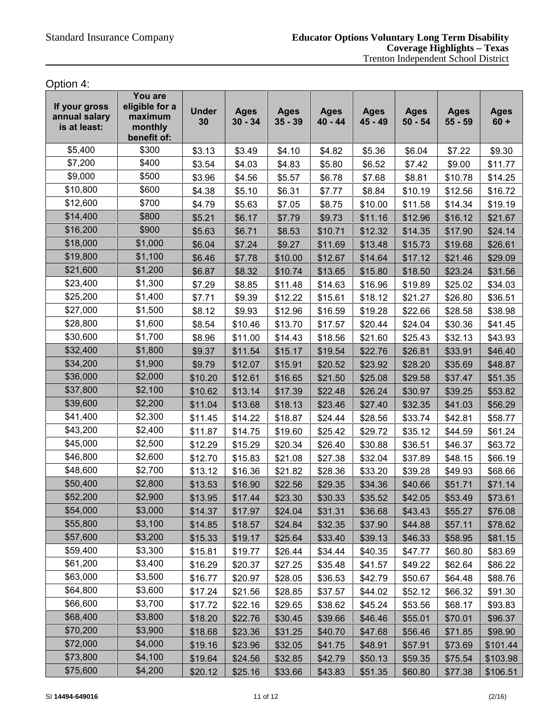Option 4:

| If your gross<br>annual salary<br>is at least: | You are<br>eligible for a<br>maximum<br>monthly<br>benefit of: | <b>Under</b><br>30 | <b>Ages</b><br>$30 - 34$ | <b>Ages</b><br>$35 - 39$ | <b>Ages</b><br>$40 - 44$ | <b>Ages</b><br>45 - 49 | <b>Ages</b><br>$50 - 54$ | <b>Ages</b><br>$55 - 59$ | <b>Ages</b><br>$60 +$ |
|------------------------------------------------|----------------------------------------------------------------|--------------------|--------------------------|--------------------------|--------------------------|------------------------|--------------------------|--------------------------|-----------------------|
| \$5,400                                        | \$300                                                          | \$3.13             | \$3.49                   | \$4.10                   | \$4.82                   | \$5.36                 | \$6.04                   | \$7.22                   | \$9.30                |
| \$7,200                                        | \$400                                                          | \$3.54             | \$4.03                   | \$4.83                   | \$5.80                   | \$6.52                 | \$7.42                   | \$9.00                   | \$11.77               |
| \$9,000                                        | \$500                                                          | \$3.96             | \$4.56                   | \$5.57                   | \$6.78                   | \$7.68                 | \$8.81                   | \$10.78                  | \$14.25               |
| \$10,800                                       | \$600                                                          | \$4.38             | \$5.10                   | \$6.31                   | \$7.77                   | \$8.84                 | \$10.19                  | \$12.56                  | \$16.72               |
| \$12,600                                       | \$700                                                          | \$4.79             | \$5.63                   | \$7.05                   | \$8.75                   | \$10.00                | \$11.58                  | \$14.34                  | \$19.19               |
| \$14,400                                       | \$800                                                          | \$5.21             | \$6.17                   | \$7.79                   | \$9.73                   | \$11.16                | \$12.96                  | \$16.12                  | \$21.67               |
| \$16,200                                       | \$900                                                          | \$5.63             | \$6.71                   | \$8.53                   | \$10.71                  | \$12.32                | \$14.35                  | \$17.90                  | \$24.14               |
| \$18,000                                       | \$1,000                                                        | \$6.04             | \$7.24                   | \$9.27                   | \$11.69                  | \$13.48                | \$15.73                  | \$19.68                  | \$26.61               |
| \$19,800                                       | \$1,100                                                        | \$6.46             | \$7.78                   | \$10.00                  | \$12.67                  | \$14.64                | \$17.12                  | \$21.46                  | \$29.09               |
| \$21,600                                       | \$1,200                                                        | \$6.87             | \$8.32                   | \$10.74                  | \$13.65                  | \$15.80                | \$18.50                  | \$23.24                  | \$31.56               |
| \$23,400                                       | \$1,300                                                        | \$7.29             | \$8.85                   | \$11.48                  | \$14.63                  | \$16.96                | \$19.89                  | \$25.02                  | \$34.03               |
| \$25,200                                       | \$1,400                                                        | \$7.71             | \$9.39                   | \$12.22                  | \$15.61                  | \$18.12                | \$21.27                  | \$26.80                  | \$36.51               |
| \$27,000                                       | \$1,500                                                        | \$8.12             | \$9.93                   | \$12.96                  | \$16.59                  | \$19.28                | \$22.66                  | \$28.58                  | \$38.98               |
| \$28,800                                       | \$1,600                                                        | \$8.54             | \$10.46                  | \$13.70                  | \$17.57                  | \$20.44                | \$24.04                  | \$30.36                  | \$41.45               |
| \$30,600                                       | \$1,700                                                        | \$8.96             | \$11.00                  | \$14.43                  | \$18.56                  | \$21.60                | \$25.43                  | \$32.13                  | \$43.93               |
| \$32,400                                       | \$1,800                                                        | \$9.37             | \$11.54                  | \$15.17                  | \$19.54                  | \$22.76                | \$26.81                  | \$33.91                  | \$46.40               |
| \$34,200                                       | \$1,900                                                        | \$9.79             | \$12.07                  | \$15.91                  | \$20.52                  | \$23.92                | \$28.20                  | \$35.69                  | \$48.87               |
| \$36,000                                       | \$2,000                                                        | \$10.20            | \$12.61                  | \$16.65                  | \$21.50                  | \$25.08                | \$29.58                  | \$37.47                  | \$51.35               |
| \$37,800                                       | \$2,100                                                        | \$10.62            | \$13.14                  | \$17.39                  | \$22.48                  | \$26.24                | \$30.97                  | \$39.25                  | \$53.82               |
| \$39,600                                       | \$2,200                                                        | \$11.04            | \$13.68                  | \$18.13                  | \$23.46                  | \$27.40                | \$32.35                  | \$41.03                  | \$56.29               |
| \$41,400                                       | \$2,300                                                        | \$11.45            | \$14.22                  | \$18.87                  | \$24.44                  | \$28.56                | \$33.74                  | \$42.81                  | \$58.77               |
| \$43,200                                       | \$2,400                                                        | \$11.87            | \$14.75                  | \$19.60                  | \$25.42                  | \$29.72                | \$35.12                  | \$44.59                  | \$61.24               |
| \$45,000                                       | \$2,500                                                        | \$12.29            | \$15.29                  | \$20.34                  | \$26.40                  | \$30.88                | \$36.51                  | \$46.37                  | \$63.72               |
| \$46,800                                       | \$2,600                                                        | \$12.70            | \$15.83                  | \$21.08                  | \$27.38                  | \$32.04                | \$37.89                  | \$48.15                  | \$66.19               |
| \$48,600                                       | \$2,700                                                        | \$13.12            | \$16.36                  | \$21.82                  | \$28.36                  | \$33.20                | \$39.28                  | \$49.93                  | \$68.66               |
| \$50,400                                       | \$2,800                                                        | \$13.53            | \$16.90                  | \$22.56                  | \$29.35                  | \$34.36                | \$40.66                  | \$51.71                  | \$71.14               |
| \$52,200                                       | \$2,900                                                        | \$13.95            | \$17.44                  | \$23.30                  | \$30.33                  | \$35.52                | \$42.05                  | \$53.49                  | \$73.61               |
| \$54,000                                       | \$3,000                                                        | \$14.37            | \$17.97                  | \$24.04                  | \$31.31                  | \$36.68                | \$43.43                  | \$55.27                  | \$76.08               |
| \$55,800                                       | \$3,100                                                        | \$14.85            | \$18.57                  | \$24.84                  | \$32.35                  | \$37.90                | \$44.88                  | \$57.11                  | \$78.62               |
| \$57,600                                       | \$3,200                                                        | \$15.33            | \$19.17                  | \$25.64                  | \$33.40                  | \$39.13                | \$46.33                  | \$58.95                  | \$81.15               |
| \$59,400                                       | \$3,300                                                        | \$15.81            | \$19.77                  | \$26.44                  | \$34.44                  | \$40.35                | \$47.77                  | \$60.80                  | \$83.69               |
| \$61,200                                       | \$3,400                                                        | \$16.29            | \$20.37                  | \$27.25                  | \$35.48                  | \$41.57                | \$49.22                  | \$62.64                  | \$86.22               |
| \$63,000                                       | \$3,500                                                        | \$16.77            | \$20.97                  | \$28.05                  | \$36.53                  | \$42.79                | \$50.67                  | \$64.48                  | \$88.76               |
| \$64,800                                       | \$3,600                                                        | \$17.24            | \$21.56                  | \$28.85                  | \$37.57                  | \$44.02                | \$52.12                  | \$66.32                  | \$91.30               |
| \$66,600                                       | \$3,700                                                        | \$17.72            | \$22.16                  | \$29.65                  | \$38.62                  | \$45.24                | \$53.56                  | \$68.17                  | \$93.83               |
| \$68,400                                       | \$3,800                                                        | \$18.20            | \$22.76                  | \$30.45                  | \$39.66                  | \$46.46                | \$55.01                  | \$70.01                  | \$96.37               |
| \$70,200                                       | \$3,900                                                        | \$18.68            | \$23.36                  | \$31.25                  | \$40.70                  | \$47.68                | \$56.46                  | \$71.85                  | \$98.90               |
| \$72,000                                       | \$4,000                                                        | \$19.16            | \$23.96                  | \$32.05                  | \$41.75                  | \$48.91                | \$57.91                  | \$73.69                  | \$101.44              |
| \$73,800                                       | \$4,100                                                        | \$19.64            | \$24.56                  | \$32.85                  | \$42.79                  | \$50.13                | \$59.35                  | \$75.54                  | \$103.98              |
| \$75,600                                       | \$4,200                                                        | \$20.12            | \$25.16                  | \$33.66                  | \$43.83                  | \$51.35                | \$60.80                  | \$77.38                  | \$106.51              |